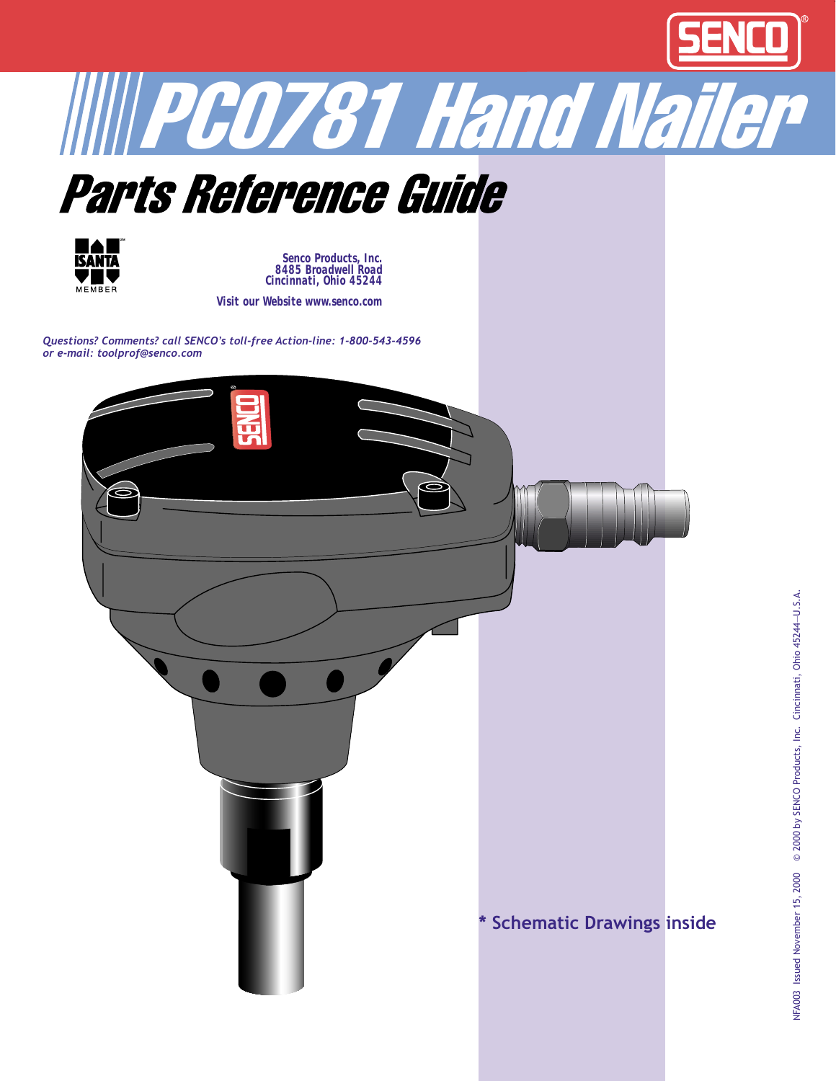







*Senco Products, Inc. 8485 Broadwell Road Cincinnati, Ohio 45244*

*Visit our Website www.senco.com*

*Questions? Comments? call SENCO's toll-free Action-line: 1-800-543-4596 or e-mail: toolprof@senco.com*

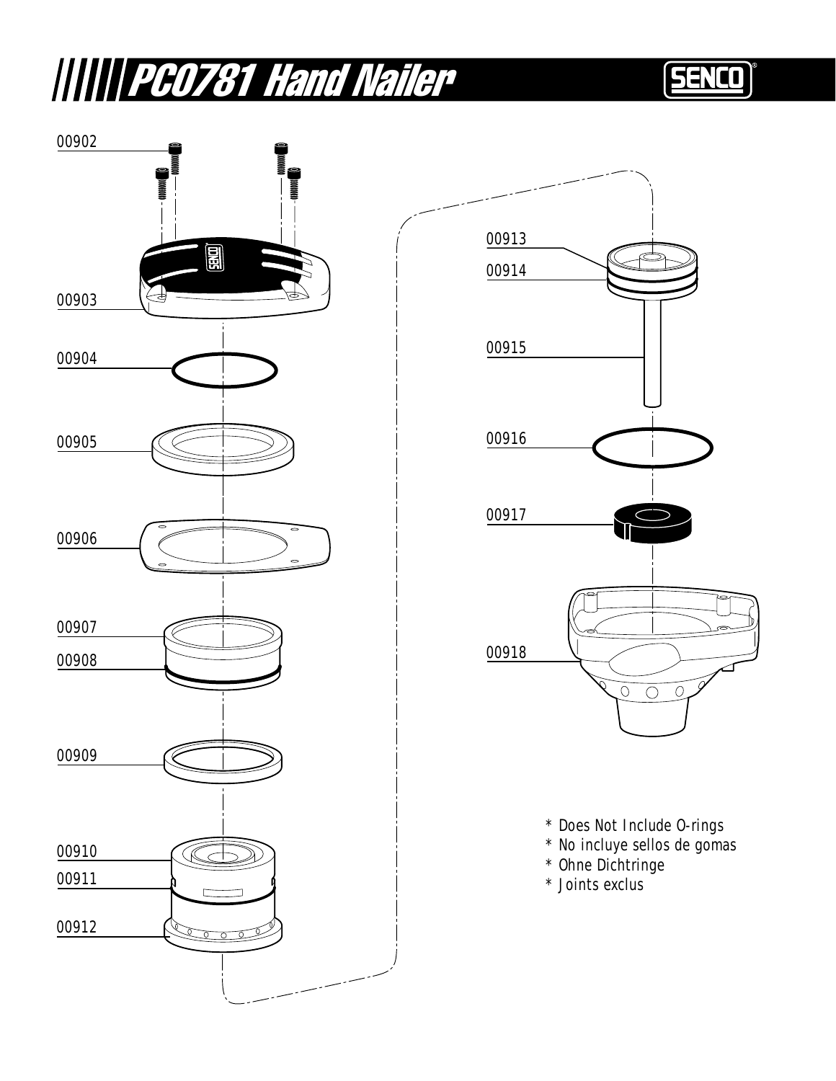## **WWW PC0781 Hand Nailer**

## SENCO





- 
- \* Does Not Include O-rings<br>\* No incluye sellos de gomas<br>\* Ohne Dichtringe<br>\* Joints exclus
- 
-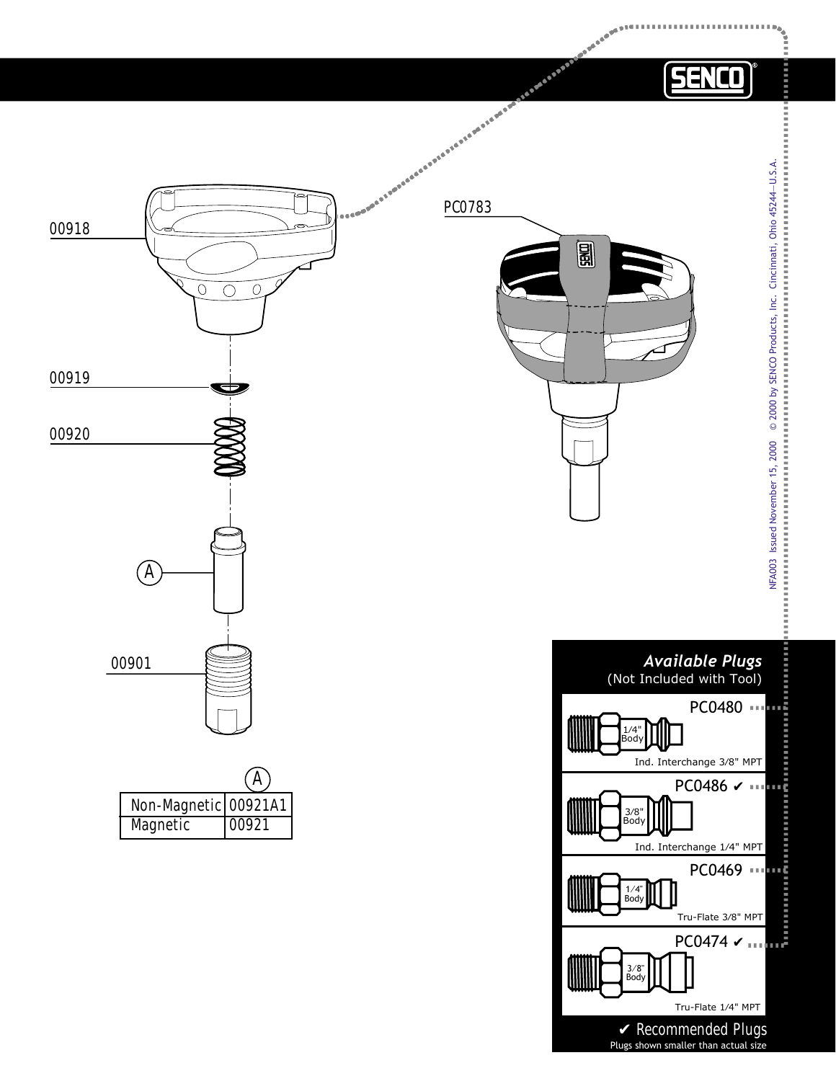

Tru-Flate 1⁄4" MPT

✔ *Recommended Plugs* Plugs shown smaller than actual size